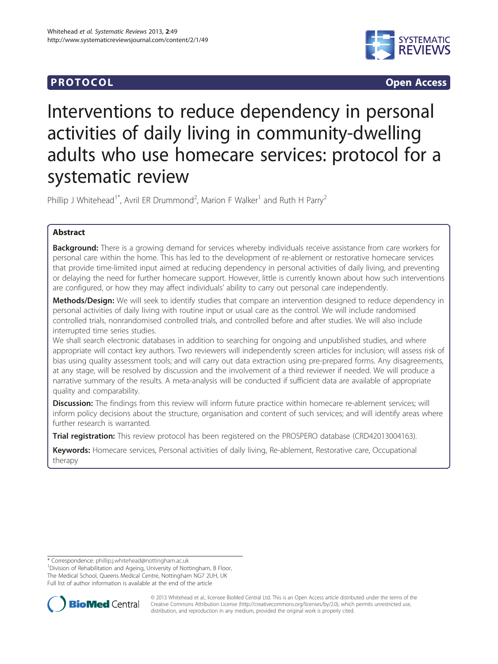## **PROTOCOL CONSUMING ACCESS**



# Interventions to reduce dependency in personal activities of daily living in community-dwelling adults who use homecare services: protocol for a systematic review

Phillip J Whitehead<sup>1\*</sup>, Avril ER Drummond<sup>2</sup>, Marion F Walker<sup>1</sup> and Ruth H Parry<sup>2</sup>

## Abstract

**Background:** There is a growing demand for services whereby individuals receive assistance from care workers for personal care within the home. This has led to the development of re-ablement or restorative homecare services that provide time-limited input aimed at reducing dependency in personal activities of daily living, and preventing or delaying the need for further homecare support. However, little is currently known about how such interventions are configured, or how they may affect individuals' ability to carry out personal care independently.

Methods/Design: We will seek to identify studies that compare an intervention designed to reduce dependency in personal activities of daily living with routine input or usual care as the control. We will include randomised controlled trials, nonrandomised controlled trials, and controlled before and after studies. We will also include interrupted time series studies.

We shall search electronic databases in addition to searching for ongoing and unpublished studies, and where appropriate will contact key authors. Two reviewers will independently screen articles for inclusion; will assess risk of bias using quality assessment tools; and will carry out data extraction using pre-prepared forms. Any disagreements, at any stage, will be resolved by discussion and the involvement of a third reviewer if needed. We will produce a narrative summary of the results. A meta-analysis will be conducted if sufficient data are available of appropriate quality and comparability.

Discussion: The findings from this review will inform future practice within homecare re-ablement services; will inform policy decisions about the structure, organisation and content of such services; and will identify areas where further research is warranted.

Trial registration: This review protocol has been registered on the PROSPERO database ([CRD42013004163](http://www.crd.york.ac.uk/NIHR_PROSPERO/display_record.asp?ID=CRD42013004163)).

Keywords: Homecare services, Personal activities of daily living, Re-ablement, Restorative care, Occupational therapy

<sup>1</sup> Division of Rehabilitation and Ageing, University of Nottingham, B Floor, The Medical School, Queens Medical Centre, Nottingham NG7 2UH, UK Full list of author information is available at the end of the article



© 2013 Whitehead et al.; licensee BioMed Central Ltd. This is an Open Access article distributed under the terms of the Creative Commons Attribution License (<http://creativecommons.org/licenses/by/2.0>), which permits unrestricted use, distribution, and reproduction in any medium, provided the original work is properly cited.

<sup>\*</sup> Correspondence: [phillip.j.whitehead@nottingham.ac.uk](mailto:phillip.j.whitehead@nottingham.ac.uk) <sup>1</sup>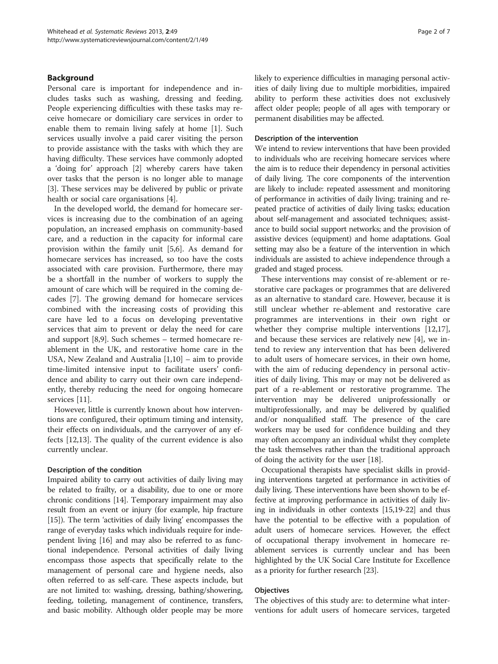### Background

Personal care is important for independence and includes tasks such as washing, dressing and feeding. People experiencing difficulties with these tasks may receive homecare or domiciliary care services in order to enable them to remain living safely at home [[1\]](#page-5-0). Such services usually involve a paid carer visiting the person to provide assistance with the tasks with which they are having difficulty. These services have commonly adopted a 'doing for' approach [[2\]](#page-5-0) whereby carers have taken over tasks that the person is no longer able to manage [[3\]](#page-5-0). These services may be delivered by public or private health or social care organisations [\[4](#page-5-0)].

In the developed world, the demand for homecare services is increasing due to the combination of an ageing population, an increased emphasis on community-based care, and a reduction in the capacity for informal care provision within the family unit [[5,6\]](#page-5-0). As demand for homecare services has increased, so too have the costs associated with care provision. Furthermore, there may be a shortfall in the number of workers to supply the amount of care which will be required in the coming decades [[7\]](#page-5-0). The growing demand for homecare services combined with the increasing costs of providing this care have led to a focus on developing preventative services that aim to prevent or delay the need for care and support [[8,9\]](#page-5-0). Such schemes – termed homecare reablement in the UK, and restorative home care in the USA, New Zealand and Australia [[1,10\]](#page-5-0) – aim to provide time-limited intensive input to facilitate users' confidence and ability to carry out their own care independently, thereby reducing the need for ongoing homecare services [[11](#page-5-0)].

However, little is currently known about how interventions are configured, their optimum timing and intensity, their effects on individuals, and the carryover of any effects [\[12,13](#page-5-0)]. The quality of the current evidence is also currently unclear.

#### Description of the condition

Impaired ability to carry out activities of daily living may be related to frailty, or a disability, due to one or more chronic conditions [[14](#page-5-0)]. Temporary impairment may also result from an event or injury (for example, hip fracture [[15](#page-5-0)]). The term 'activities of daily living' encompasses the range of everyday tasks which individuals require for independent living [[16](#page-5-0)] and may also be referred to as functional independence. Personal activities of daily living encompass those aspects that specifically relate to the management of personal care and hygiene needs, also often referred to as self-care. These aspects include, but are not limited to: washing, dressing, bathing/showering, feeding, toileting, management of continence, transfers, and basic mobility. Although older people may be more likely to experience difficulties in managing personal activities of daily living due to multiple morbidities, impaired ability to perform these activities does not exclusively affect older people; people of all ages with temporary or permanent disabilities may be affected.

#### Description of the intervention

We intend to review interventions that have been provided to individuals who are receiving homecare services where the aim is to reduce their dependency in personal activities of daily living. The core components of the intervention are likely to include: repeated assessment and monitoring of performance in activities of daily living; training and repeated practice of activities of daily living tasks; education about self-management and associated techniques; assistance to build social support networks; and the provision of assistive devices (equipment) and home adaptations. Goal setting may also be a feature of the intervention in which individuals are assisted to achieve independence through a graded and staged process.

These interventions may consist of re-ablement or restorative care packages or programmes that are delivered as an alternative to standard care. However, because it is still unclear whether re-ablement and restorative care programmes are interventions in their own right or whether they comprise multiple interventions [\[12,17](#page-5-0)], and because these services are relatively new [\[4](#page-5-0)], we intend to review any intervention that has been delivered to adult users of homecare services, in their own home, with the aim of reducing dependency in personal activities of daily living. This may or may not be delivered as part of a re-ablement or restorative programme. The intervention may be delivered uniprofessionally or multiprofessionally, and may be delivered by qualified and/or nonqualified staff. The presence of the care workers may be used for confidence building and they may often accompany an individual whilst they complete the task themselves rather than the traditional approach of doing the activity for the user [\[18](#page-5-0)].

Occupational therapists have specialist skills in providing interventions targeted at performance in activities of daily living. These interventions have been shown to be effective at improving performance in activities of daily living in individuals in other contexts [\[15,19-22\]](#page-5-0) and thus have the potential to be effective with a population of adult users of homecare services. However, the effect of occupational therapy involvement in homecare reablement services is currently unclear and has been highlighted by the UK Social Care Institute for Excellence as a priority for further research [\[23\]](#page-5-0).

#### **Objectives**

The objectives of this study are: to determine what interventions for adult users of homecare services, targeted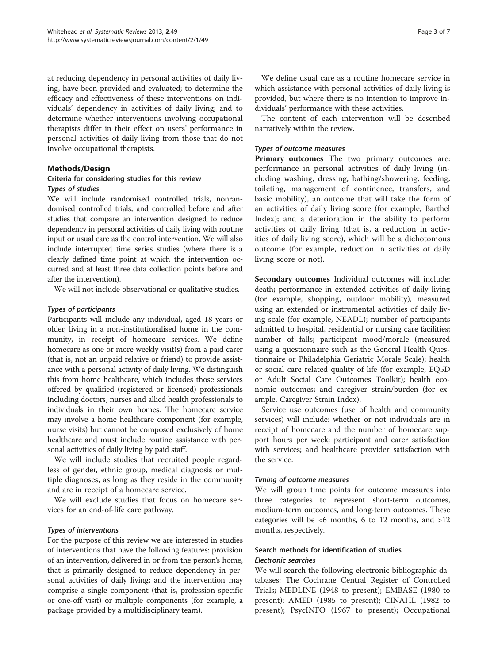at reducing dependency in personal activities of daily living, have been provided and evaluated; to determine the efficacy and effectiveness of these interventions on individuals' dependency in activities of daily living; and to determine whether interventions involving occupational therapists differ in their effect on users' performance in personal activities of daily living from those that do not involve occupational therapists.

## Methods/Design

## Criteria for considering studies for this review Types of studies

We will include randomised controlled trials, nonrandomised controlled trials, and controlled before and after studies that compare an intervention designed to reduce dependency in personal activities of daily living with routine input or usual care as the control intervention. We will also include interrupted time series studies (where there is a clearly defined time point at which the intervention occurred and at least three data collection points before and after the intervention).

We will not include observational or qualitative studies.

## Types of participants

Participants will include any individual, aged 18 years or older, living in a non-institutionalised home in the community, in receipt of homecare services. We define homecare as one or more weekly visit(s) from a paid carer (that is, not an unpaid relative or friend) to provide assistance with a personal activity of daily living. We distinguish this from home healthcare, which includes those services offered by qualified (registered or licensed) professionals including doctors, nurses and allied health professionals to individuals in their own homes. The homecare service may involve a home healthcare component (for example, nurse visits) but cannot be composed exclusively of home healthcare and must include routine assistance with personal activities of daily living by paid staff.

We will include studies that recruited people regardless of gender, ethnic group, medical diagnosis or multiple diagnoses, as long as they reside in the community and are in receipt of a homecare service.

We will exclude studies that focus on homecare services for an end-of-life care pathway.

## Types of interventions

For the purpose of this review we are interested in studies of interventions that have the following features: provision of an intervention, delivered in or from the person's home, that is primarily designed to reduce dependency in personal activities of daily living; and the intervention may comprise a single component (that is, profession specific or one-off visit) or multiple components (for example, a package provided by a multidisciplinary team).

We define usual care as a routine homecare service in which assistance with personal activities of daily living is provided, but where there is no intention to improve individuals' performance with these activities.

The content of each intervention will be described narratively within the review.

## Types of outcome measures

Primary outcomes The two primary outcomes are: performance in personal activities of daily living (including washing, dressing, bathing/showering, feeding, toileting, management of continence, transfers, and basic mobility), an outcome that will take the form of an activities of daily living score (for example, Barthel Index); and a deterioration in the ability to perform activities of daily living (that is, a reduction in activities of daily living score), which will be a dichotomous outcome (for example, reduction in activities of daily living score or not).

Secondary outcomes Individual outcomes will include: death; performance in extended activities of daily living (for example, shopping, outdoor mobility), measured using an extended or instrumental activities of daily living scale (for example, NEADL); number of participants admitted to hospital, residential or nursing care facilities; number of falls; participant mood/morale (measured using a questionnaire such as the General Health Questionnaire or Philadelphia Geriatric Morale Scale); health or social care related quality of life (for example, EQ5D or Adult Social Care Outcomes Toolkit); health economic outcomes; and caregiver strain/burden (for example, Caregiver Strain Index).

Service use outcomes (use of health and community services) will include: whether or not individuals are in receipt of homecare and the number of homecare support hours per week; participant and carer satisfaction with services; and healthcare provider satisfaction with the service.

## Timing of outcome measures

We will group time points for outcome measures into three categories to represent short-term outcomes, medium-term outcomes, and long-term outcomes. These categories will be  $<6$  months, 6 to 12 months, and  $>12$ months, respectively.

## Search methods for identification of studies Electronic searches

We will search the following electronic bibliographic databases: The Cochrane Central Register of Controlled Trials; MEDLINE (1948 to present); EMBASE (1980 to present); AMED (1985 to present); CINAHL (1982 to present); PsycINFO (1967 to present); Occupational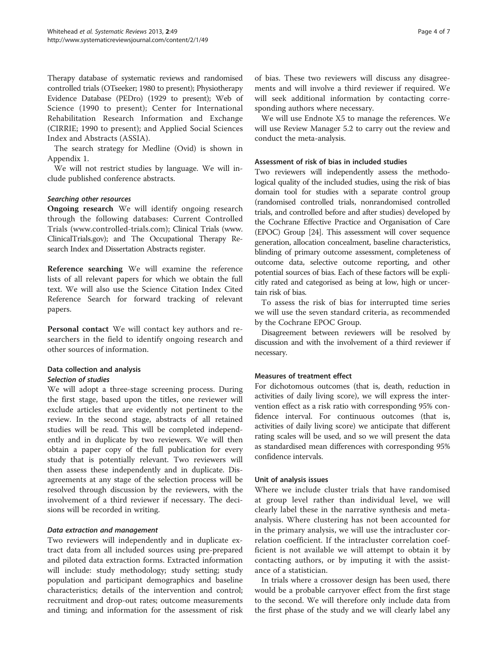Therapy database of systematic reviews and randomised controlled trials (OTseeker; 1980 to present); Physiotherapy Evidence Database (PEDro) (1929 to present); Web of Science (1990 to present); Center for International Rehabilitation Research Information and Exchange (CIRRIE; 1990 to present); and Applied Social Sciences Index and Abstracts (ASSIA).

The search strategy for Medline (Ovid) is shown in [Appendix 1](#page-4-0).

We will not restrict studies by language. We will include published conference abstracts.

### Searching other resources

Ongoing research We will identify ongoing research through the following databases: Current Controlled Trials [\(www.controlled-trials.com\)](http://www.controlled-trials.com); Clinical Trials [\(www.](http://www.clinicaltrials.gov) [ClinicalTrials.gov](http://www.clinicaltrials.gov)); and The Occupational Therapy Research Index and Dissertation Abstracts register.

Reference searching We will examine the reference lists of all relevant papers for which we obtain the full text. We will also use the Science Citation Index Cited Reference Search for forward tracking of relevant papers.

Personal contact We will contact key authors and researchers in the field to identify ongoing research and other sources of information.

## Data collection and analysis

## Selection of studies

We will adopt a three-stage screening process. During the first stage, based upon the titles, one reviewer will exclude articles that are evidently not pertinent to the review. In the second stage, abstracts of all retained studies will be read. This will be completed independently and in duplicate by two reviewers. We will then obtain a paper copy of the full publication for every study that is potentially relevant. Two reviewers will then assess these independently and in duplicate. Disagreements at any stage of the selection process will be resolved through discussion by the reviewers, with the involvement of a third reviewer if necessary. The decisions will be recorded in writing.

## Data extraction and management

Two reviewers will independently and in duplicate extract data from all included sources using pre-prepared and piloted data extraction forms. Extracted information will include: study methodology; study setting; study population and participant demographics and baseline characteristics; details of the intervention and control; recruitment and drop-out rates; outcome measurements and timing; and information for the assessment of risk sponding authors where necessary. We will use Endnote X5 to manage the references. We will use Review Manager 5.2 to carry out the review and conduct the meta-analysis.

## Assessment of risk of bias in included studies

Two reviewers will independently assess the methodological quality of the included studies, using the risk of bias domain tool for studies with a separate control group (randomised controlled trials, nonrandomised controlled trials, and controlled before and after studies) developed by the Cochrane Effective Practice and Organisation of Care (EPOC) Group [\[24\]](#page-5-0). This assessment will cover sequence generation, allocation concealment, baseline characteristics, blinding of primary outcome assessment, completeness of outcome data, selective outcome reporting, and other potential sources of bias. Each of these factors will be explicitly rated and categorised as being at low, high or uncertain risk of bias.

To assess the risk of bias for interrupted time series we will use the seven standard criteria, as recommended by the Cochrane EPOC Group.

Disagreement between reviewers will be resolved by discussion and with the involvement of a third reviewer if necessary.

## Measures of treatment effect

For dichotomous outcomes (that is, death, reduction in activities of daily living score), we will express the intervention effect as a risk ratio with corresponding 95% confidence interval. For continuous outcomes (that is, activities of daily living score) we anticipate that different rating scales will be used, and so we will present the data as standardised mean differences with corresponding 95% confidence intervals.

## Unit of analysis issues

Where we include cluster trials that have randomised at group level rather than individual level, we will clearly label these in the narrative synthesis and metaanalysis. Where clustering has not been accounted for in the primary analysis, we will use the intracluster correlation coefficient. If the intracluster correlation coefficient is not available we will attempt to obtain it by contacting authors, or by imputing it with the assistance of a statistician.

In trials where a crossover design has been used, there would be a probable carryover effect from the first stage to the second. We will therefore only include data from the first phase of the study and we will clearly label any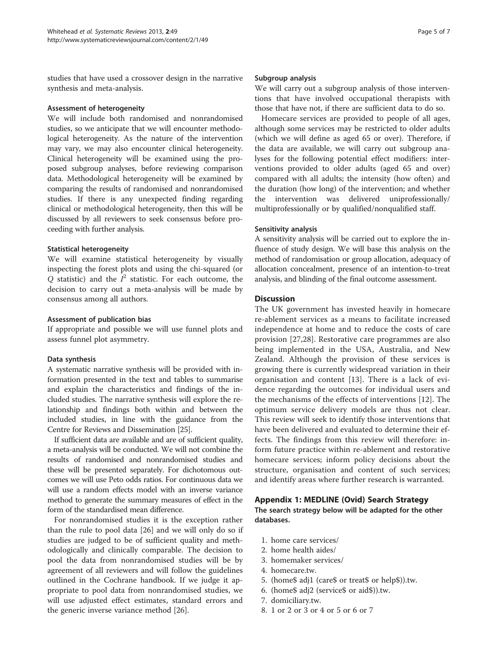<span id="page-4-0"></span>studies that have used a crossover design in the narrative synthesis and meta-analysis.

#### Assessment of heterogeneity

We will include both randomised and nonrandomised studies, so we anticipate that we will encounter methodological heterogeneity. As the nature of the intervention may vary, we may also encounter clinical heterogeneity. Clinical heterogeneity will be examined using the proposed subgroup analyses, before reviewing comparison data. Methodological heterogeneity will be examined by comparing the results of randomised and nonrandomised studies. If there is any unexpected finding regarding clinical or methodological heterogeneity, then this will be discussed by all reviewers to seek consensus before proceeding with further analysis.

#### Statistical heterogeneity

We will examine statistical heterogeneity by visually inspecting the forest plots and using the chi-squared (or Q statistic) and the  $I^2$  statistic. For each outcome, the decision to carry out a meta-analysis will be made by consensus among all authors.

#### Assessment of publication bias

If appropriate and possible we will use funnel plots and assess funnel plot asymmetry.

#### Data synthesis

A systematic narrative synthesis will be provided with information presented in the text and tables to summarise and explain the characteristics and findings of the included studies. The narrative synthesis will explore the relationship and findings both within and between the included studies, in line with the guidance from the Centre for Reviews and Dissemination [\[25\]](#page-5-0).

If sufficient data are available and are of sufficient quality, a meta-analysis will be conducted. We will not combine the results of randomised and nonrandomised studies and these will be presented separately. For dichotomous outcomes we will use Peto odds ratios. For continuous data we will use a random effects model with an inverse variance method to generate the summary measures of effect in the form of the standardised mean difference.

For nonrandomised studies it is the exception rather than the rule to pool data [[26\]](#page-6-0) and we will only do so if studies are judged to be of sufficient quality and methodologically and clinically comparable. The decision to pool the data from nonrandomised studies will be by agreement of all reviewers and will follow the guidelines outlined in the Cochrane handbook. If we judge it appropriate to pool data from nonrandomised studies, we will use adjusted effect estimates, standard errors and the generic inverse variance method [[26\]](#page-6-0).

## Subgroup analysis

We will carry out a subgroup analysis of those interventions that have involved occupational therapists with those that have not, if there are sufficient data to do so.

Homecare services are provided to people of all ages, although some services may be restricted to older adults (which we will define as aged 65 or over). Therefore, if the data are available, we will carry out subgroup analyses for the following potential effect modifiers: interventions provided to older adults (aged 65 and over) compared with all adults; the intensity (how often) and the duration (how long) of the intervention; and whether the intervention was delivered uniprofessionally/ multiprofessionally or by qualified/nonqualified staff.

#### Sensitivity analysis

A sensitivity analysis will be carried out to explore the influence of study design. We will base this analysis on the method of randomisation or group allocation, adequacy of allocation concealment, presence of an intention-to-treat analysis, and blinding of the final outcome assessment.

#### **Discussion**

The UK government has invested heavily in homecare re-ablement services as a means to facilitate increased independence at home and to reduce the costs of care provision [[27,28](#page-6-0)]. Restorative care programmes are also being implemented in the USA, Australia, and New Zealand. Although the provision of these services is growing there is currently widespread variation in their organisation and content [\[13](#page-5-0)]. There is a lack of evidence regarding the outcomes for individual users and the mechanisms of the effects of interventions [[12\]](#page-5-0). The optimum service delivery models are thus not clear. This review will seek to identify those interventions that have been delivered and evaluated to determine their effects. The findings from this review will therefore: inform future practice within re-ablement and restorative homecare services; inform policy decisions about the structure, organisation and content of such services; and identify areas where further research is warranted.

#### Appendix 1: MEDLINE (Ovid) Search Strategy

The search strategy below will be adapted for the other databases.

- 1. home care services/
- 2. home health aides/
- 3. homemaker services/
- 4. homecare.tw.
- 5. (home\$ adj1 (care\$ or treat\$ or help\$)).tw.
- 6. (home\$ adj2 (service\$ or aid\$)).tw.
- 7. domiciliary.tw.
- 8. 1 or 2 or 3 or 4 or 5 or 6 or 7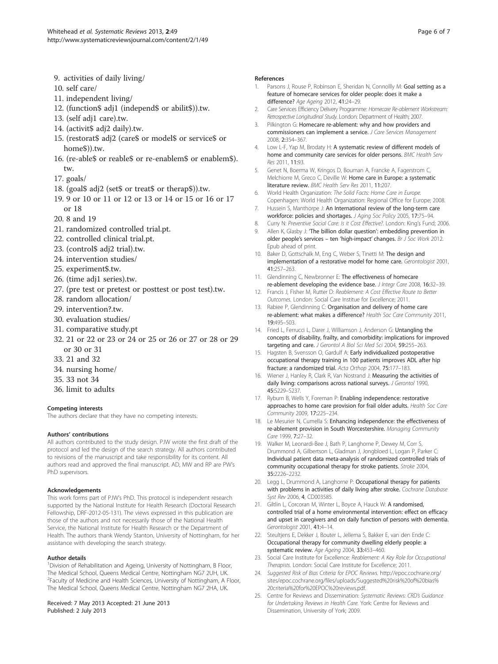- <span id="page-5-0"></span>9. activities of daily living/
- 10. self care/
- 11. independent living/
- 12. (function\$ adj1 (independ\$ or abilit\$)).tw.
- 13. (self adj1 care).tw.
- 14. (activit\$ adj2 daily).tw.
- 15. (restorat\$ adj2 (care\$ or model\$ or service\$ or home\$)).tw.
- 16. (re-able\$ or reable\$ or re-enablem\$ or enablem\$). tw.
- 17. goals/
- 18. (goal\$ adj2 (set\$ or treat\$ or therap\$)).tw.
- 19. 9 or 10 or 11 or 12 or 13 or 14 or 15 or 16 or 17 or 18
- 20. 8 and 19
- 21. randomized controlled trial.pt.
- 22. controlled clinical trial.pt.
- 23. (control\$ adj2 trial).tw.
- 24. intervention studies/
- 25. experiment\$.tw.
- 26. (time adj1 series).tw.
- 27. (pre test or pretest or posttest or post test).tw.
- 28. random allocation/
- 29. intervention?.tw.
- 30. evaluation studies/
- 31. comparative study.pt
- 32. 21 or 22 or 23 or 24 or 25 or 26 or 27 or 28 or 29 or 30 or 31
- 33. 21 and 32
- 34. nursing home/
- 35. 33 not 34
- 36. limit to adults

#### Competing interests

The authors declare that they have no competing interests.

#### Authors' contributions

All authors contributed to the study design. PJW wrote the first draft of the protocol and led the design of the search strategy. All authors contributed to revisions of the manuscript and take responsibility for its content. All authors read and approved the final manuscript. AD, MW and RP are PW's PhD supervisors.

#### Acknowledgements

This work forms part of PJW's PhD. This protocol is independent research supported by the National Institute for Health Research (Doctoral Research Fellowship, DRF-2012-05-131). The views expressed in this publication are those of the authors and not necessarily those of the National Health Service, the National Institute for Health Research or the Department of Health. The authors thank Wendy Stanton, University of Nottingham, for her assistance with developing the search strategy.

#### Author details

<sup>1</sup> Division of Rehabilitation and Ageing, University of Nottingham, B Floor, The Medical School, Queens Medical Centre, Nottingham NG7 2UH, UK. <sup>2</sup>Faculty of Medicine and Health Sciences, University of Nottingham, A Floor, The Medical School, Queens Medical Centre, Nottingham NG7 2HA, UK.

#### Received: 7 May 2013 Accepted: 21 June 2013 Published: 2 July 2013

#### References

- 1. Parsons J, Rouse P, Robinson E, Sheridan N, Connollly M: Goal setting as a feature of homecare services for older people: does it make a difference? Age Ageing 2012, 41:24–29.
- 2. Care Services Efficiency Delivery Programme: Homecare Re-ablement Workstream: Retrospective Longitudinal Study. London: Department of Health; 2007.
- 3. Pilkington G: Homecare re-ablement: why and how providers and commissioners can implement a service. J Care Services Management 2008, 2:354–367.
- 4. Low L-F, Yap M, Brodaty H: A systematic review of different models of home and community care services for older persons. BMC Health Serv Res 2011, 11:93.
- 5. Genet N, Boerma W, Kringos D, Bouman A, Francke A, Fagerstrom C, Melchiorre M, Greco C, Deville W: Home care in Europe: a systematic literature review. BMC Health Serv Res 2011, 11:207.
- 6. World Health Organization: The Solid Facts: Home Care in Europe. Copenhagen: World Health Organization: Regional Office for Europe; 2008.
- 7. Hussein S, Manthorpe J: An International review of the long-term care workforce: policies and shortages. J Aging Soc Policy 2005, 17:75–94.
- 8. Curry N: Preventive Social Care: Is it Cost Effective?. London: King's Fund; 2006.
- 9. Allen K, Glasby J: 'The billion dollar question': embedding prevention in older people's services – ten 'high-impact' changes. Br J Soc Work 2012. Epub ahead of print.
- 10. Baker D, Gottschalk M, Eng C, Weber S, Tinetti M: The design and implementation of a restorative model for home care. Gerontologist 2001, 41:257–263.
- 11. Glendinning C, Newbronner E: The effectiveness of homecare re-ablement developing the evidence base. J Integr Care 2008, 16:32–39.
- 12. Francis J, Fisher M, Rutter D: Reablement: A Cost Effective Route to Better Outcomes. London: Social Care Institue for Excellence; 2011.
- 13. Rabiee P, Glendinning C: Organisation and delivery of home care re-ablement: what makes a difference? Health Soc Care Community 2011, 19:495–503.
- 14. Fried L, Ferrucci L, Darer J, Williamson J, Anderson G: Untangling the concepts of disability, frailty, and comorbidity: implications for improved targeting and care. J Gerontol A Biol Sci Med Sci 2004, 59:255-263.
- 15. Hagsten B, Svensson O, Gardulf A: Early individualized postoperative occupational therapy training in 100 patients improves ADL after hip fracture: a randomized trial. Acta Orthop 2004, 75:177–183.
- 16. Wiener J, Hanley R, Clark R, Van Nostrand J: Measuring the activities of daily living: comparisons across national surveys. J Gerontol 1990, 45:S229–S237.
- 17. Ryburn B, Wells Y, Foreman P: Enabling independence: restorative approaches to home care provision for frail older adults. Health Soc Care Community 2009, 17:225–234.
- 18. Le Mesurier N, Cumella S: Enhancing independence: the effectiveness of re-ablement provision in South Worcestershire. Managing Community Care 1999, 7:27–32.
- 19. Walker M, Leonardi-Bee J, Bath P, Langhorne P, Dewey M, Corr S, Drummond A, Gilbertson L, Gladman J, Jongbloed L, Logan P, Parker C: Individual patient data meta-analysis of randomized controlled trials of community occupational therapy for stroke patients. Stroke 2004, 35:2226–2232.
- 20. Legg L, Drummond A, Langhorne P: Occupational therapy for patients with problems in activities of daily living after stroke. Cochrane Database Syst Rev 2006, 4, CD003585.
- 21. Giltlin L, Corcoran M, Winter L, Boyce A, Hauck W: A randomised, controlled trial of a home environmental intervention: effect on efficacy and upset in caregivers and on daily function of persons with dementia. Gerontologist 2001, 41:4–14.
- 22. Steultjens E, Dekker J, Bouter L, Jellema S, Bakker E, van den Ende C: Occupational therapy for community dwelling elderly people: a systematic review. Age Ageing 2004, 33:453–460.
- 23. Social Care Institute for Excellence: Reablement: A Key Role for Occupational Therapists. London: Social Care Institute for Excellence; 2011.
- 24. Suggested Risk of Bias Criteria for EPOC Reviews. [http://epoc.cochrane.org/](http://epoc.cochrane.org/sites/epoc.cochrane.org/files/uploads/Suggested%20risk%20of%20bias%20criteria%20for%20EPOC%20reviews.pdf) [sites/epoc.cochrane.org/files/uploads/Suggested%20risk%20of%20bias%](http://epoc.cochrane.org/sites/epoc.cochrane.org/files/uploads/Suggested%20risk%20of%20bias%20criteria%20for%20EPOC%20reviews.pdf) [20criteria%20for%20EPOC%20reviews.pdf.](http://epoc.cochrane.org/sites/epoc.cochrane.org/files/uploads/Suggested%20risk%20of%20bias%20criteria%20for%20EPOC%20reviews.pdf)
- 25. Centre for Reviews and Dissemination: Systematic Reviews: CRD's Guidance for Undertaking Reviews in Health Care. York: Centre for Reviews and Dissemination, University of York; 2009.